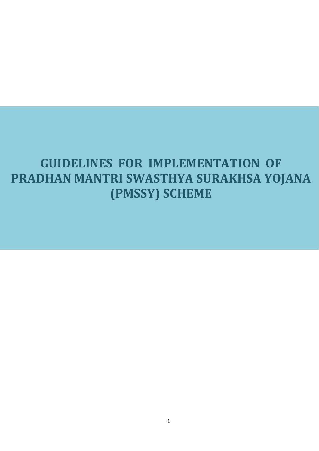# **GUIDELINES FOR IMPLEMENTATION OF PRADHAN MANTRI SWASTHYA SURAKHSA YOJANA (PMSSY) SCHEME**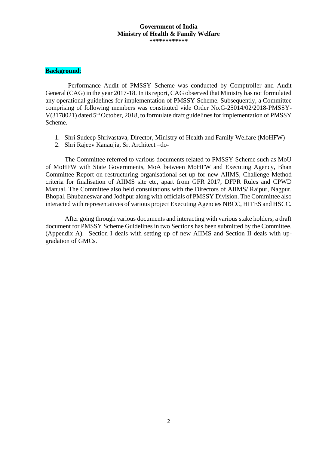#### **Government of India Ministry of Health & Family Welfare \*\*\*\*\*\*\*\*\*\*\*\***

#### **Background**:

 Performance Audit of PMSSY Scheme was conducted by Comptroller and Audit General (CAG) in the year 2017-18. In its report, CAG observed that Ministry has not formulated any operational guidelines for implementation of PMSSY Scheme. Subsequently, a Committee comprising of following members was constituted vide Order No.G-25014/02/2018-PMSSY- $V(3178021)$  dated 5<sup>th</sup> October, 2018, to formulate draft guidelines for implementation of PMSSY Scheme.

- 1. Shri Sudeep Shrivastava, Director, Ministry of Health and Family Welfare (MoHFW)
- 2. Shri Rajeev Kanaujia, Sr. Architect –do-

The Committee referred to various documents related to PMSSY Scheme such as MoU of MoHFW with State Governments, MoA between MoHFW and Executing Agency, Bhan Committee Report on restructuring organisational set up for new AIIMS, Challenge Method criteria for finalisation of AIIMS site etc, apart from GFR 2017, DFPR Rules and CPWD Manual. The Committee also held consultations with the Directors of AIIMS/ Raipur, Nagpur, Bhopal, Bhubaneswar and Jodhpur along with officials of PMSSY Division. The Committee also interacted with representatives of various project Executing Agencies NBCC, HITES and HSCC.

After going through various documents and interacting with various stake holders, a draft document for PMSSY Scheme Guidelines in two Sections has been submitted by the Committee. (Appendix A). Section I deals with setting up of new AIIMS and Section II deals with upgradation of GMCs.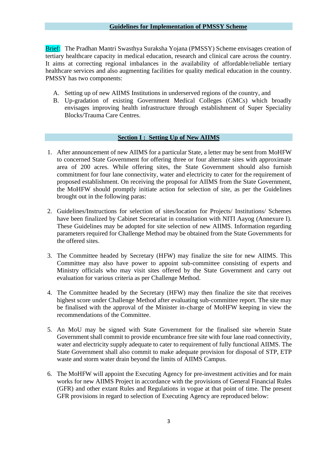Brief: The Pradhan Mantri Swasthya Suraksha Yojana (PMSSY) Scheme envisages creation of tertiary healthcare capacity in medical education, research and clinical care across the country. It aims at correcting regional imbalances in the availability of affordable/reliable tertiary healthcare services and also augmenting facilities for quality medical education in the country. PMSSY has two components:

- A. Setting up of new AIIMS Institutions in underserved regions of the country, and
- B. Up-gradation of existing Government Medical Colleges (GMCs) which broadly envisages improving health infrastructure through establishment of Super Speciality Blocks/Trauma Care Centres.

### **Section I : Setting Up of New AIIMS**

- 1. After announcement of new AIIMS for a particular State, a letter may be sent from MoHFW to concerned State Government for offering three or four alternate sites with approximate area of 200 acres. While offering sites, the State Government should also furnish commitment for four lane connectivity, water and electricity to cater for the requirement of proposed establishment. On receiving the proposal for AIIMS from the State Government, the MoHFW should promptly initiate action for selection of site, as per the Guidelines brought out in the following paras:
- 2. Guidelines/Instructions for selection of sites/location for Projects/ Institutions/ Schemes have been finalized by Cabinet Secretariat in consultation with NITI Aayog (Annexure I). These Guidelines may be adopted for site selection of new AIIMS. Information regarding parameters required for Challenge Method may be obtained from the State Governments for the offered sites.
- 3. The Committee headed by Secretary (HFW) may finalize the site for new AIIMS. This Committee may also have power to appoint sub-committee consisting of experts and Ministry officials who may visit sites offered by the State Government and carry out evaluation for various criteria as per Challenge Method.
- 4. The Committee headed by the Secretary (HFW) may then finalize the site that receives highest score under Challenge Method after evaluating sub-committee report. The site may be finalised with the approval of the Minister in-charge of MoHFW keeping in view the recommendations of the Committee.
- 5. An MoU may be signed with State Government for the finalised site wherein State Government shall commit to provide encumbrance free site with four lane road connectivity, water and electricity supply adequate to cater to requirement of fully functional AIIMS. The State Government shall also commit to make adequate provision for disposal of STP, ETP waste and storm water drain beyond the limits of AIIMS Campus.
- 6. The MoHFW will appoint the Executing Agency for pre-investment activities and for main works for new AIIMS Project in accordance with the provisions of General Financial Rules (GFR) and other extant Rules and Regulations in vogue at that point of time. The present GFR provisions in regard to selection of Executing Agency are reproduced below: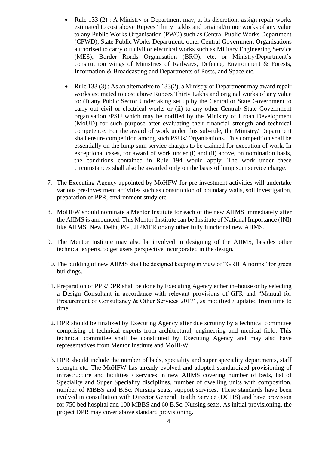- Rule 133  $(2)$ : A Ministry or Department may, at its discretion, assign repair works estimated to cost above Rupees Thirty Lakhs and original/minor works of any value to any Public Works Organisation (PWO) such as Central Public Works Department (CPWD), State Public Works Department, other Central Government Organisations authorised to carry out civil or electrical works such as Military Engineering Service (MES), Border Roads Organisation (BRO), etc. or Ministry/Department's construction wings of Ministries of Railways, Defence, Environment & Forests, Information & Broadcasting and Departments of Posts, and Space etc.
- Rule 133 (3): As an alternative to 133(2), a Ministry or Department may award repair works estimated to cost above Rupees Thirty Lakhs and original works of any value to: (i) any Public Sector Undertaking set up by the Central or State Government to carry out civil or electrical works or (ii) to any other Central/ State Government organisation /PSU which may be notified by the Ministry of Urban Development (MoUD) for such purpose after evaluating their financial strength and technical competence. For the award of work under this sub-rule, the Ministry/ Department shall ensure competition among such PSUs/ Organisations. This competition shall be essentially on the lump sum service charges to be claimed for execution of work. In exceptional cases, for award of work under (i) and (ii) above, on nomination basis, the conditions contained in Rule 194 would apply. The work under these circumstances shall also be awarded only on the basis of lump sum service charge.
- 7. The Executing Agency appointed by MoHFW for pre-investment activities will undertake various pre-investment activities such as construction of boundary walls, soil investigation, preparation of PPR, environment study etc.
- 8. MoHFW should nominate a Mentor Institute for each of the new AIIMS immediately after the AIIMS is announced. This Mentor Institute can be Institute of National Importance (INI) like AIIMS, New Delhi, PGI, JIPMER or any other fully functional new AIIMS.
- 9. The Mentor Institute may also be involved in designing of the AIIMS, besides other technical experts, to get users perspective incorporated in the design.
- 10. The building of new AIIMS shall be designed keeping in view of "GRIHA norms" for green buildings.
- 11. Preparation of PPR/DPR shall be done by Executing Agency either in–house or by selecting a Design Consultant in accordance with relevant provisions of GFR and "Manual for Procurement of Consultancy & Other Services 2017", as modified / updated from time to time.
- 12. DPR should be finalized by Executing Agency after due scrutiny by a technical committee comprising of technical experts from architectural, engineering and medical field. This technical committee shall be constituted by Executing Agency and may also have representatives from Mentor Institute and MoHFW.
- 13. DPR should include the number of beds, speciality and super speciality departments, staff strength etc. The MoHFW has already evolved and adopted standardized provisioning of infrastructure and facilities / services in new AIIMS covering number of beds, list of Speciality and Super Speciality disciplines, number of dwelling units with composition, number of MBBS and B.Sc. Nursing seats, support services. These standards have been evolved in consultation with Director General Health Service (DGHS) and have provision for 750 bed hospital and 100 MBBS and 60 B.Sc. Nursing seats. As initial provisioning, the project DPR may cover above standard provisioning.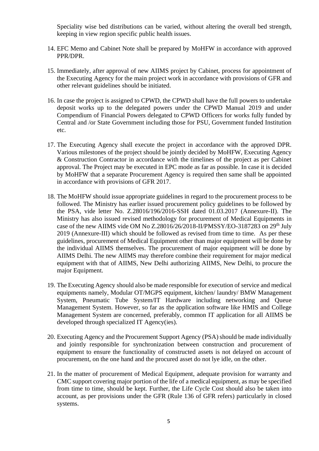Speciality wise bed distributions can be varied, without altering the overall bed strength, keeping in view region specific public health issues.

- 14. EFC Memo and Cabinet Note shall be prepared by MoHFW in accordance with approved PPR/DPR.
- 15. Immediately, after approval of new AIIMS project by Cabinet, process for appointment of the Executing Agency for the main project work in accordance with provisions of GFR and other relevant guidelines should be initiated.
- 16. In case the project is assigned to CPWD, the CPWD shall have the full powers to undertake deposit works up to the delegated powers under the CPWD Manual 2019 and under Compendium of Financial Powers delegated to CPWD Officers for works fully funded by Central and /or State Government including those for PSU, Government funded Institution etc.
- 17. The Executing Agency shall execute the project in accordance with the approved DPR. Various milestones of the project should be jointly decided by MoHFW, Executing Agency & Construction Contractor in accordance with the timelines of the project as per Cabinet approval. The Project may be executed in EPC mode as far as possible. In case it is decided by MoHFW that a separate Procurement Agency is required then same shall be appointed in accordance with provisions of GFR 2017.
- 18. The MoHFW should issue appropriate guidelines in regard to the procurement process to be followed. The Ministry has earlier issued procurement policy guidelines to be followed by the PSA, vide letter No. Z.28016/196/2016-SSH dated 01.03.2017 (Annexure-II). The Ministry has also issued revised methodology for procurement of Medical Equipments in case of the new AIIMS vide OM No  $Z.28016/26/2018$ -II/PMSSY/EO-3187283 on  $29<sup>th</sup>$  July 2019 (Annexure-III) which should be followed as revised from time to time. As per these guidelines, procurement of Medical Equipment other than major equipment will be done by the individual AIIMS themselves. The procurement of major equipment will be done by AIIMS Delhi. The new AIIMS may therefore combine their requirement for major medical equipment with that of AIIMS, New Delhi authorizing AIIMS, New Delhi, to procure the major Equipment.
- 19. The Executing Agency should also be made responsible for execution of service and medical equipments namely, Modular OT/MGPS equipment, kitchen/ laundry/ BMW Management System, Pneumatic Tube System/IT Hardware including networking and Queue Management System. However, so far as the application software like HMIS and College Management System are concerned, preferably, common IT application for all AIIMS be developed through specialized IT Agency(ies).
- 20. Executing Agency and the Procurement Support Agency (PSA) should be made individually and jointly responsible for synchronization between construction and procurement of equipment to ensure the functionality of constructed assets is not delayed on account of procurement, on the one hand and the procured asset do not lye idle, on the other.
- 21. In the matter of procurement of Medical Equipment, adequate provision for warranty and CMC support covering major portion of the life of a medical equipment, as may be specified from time to time, should be kept. Further, the Life Cycle Cost should also be taken into account, as per provisions under the GFR (Rule 136 of GFR refers) particularly in closed systems.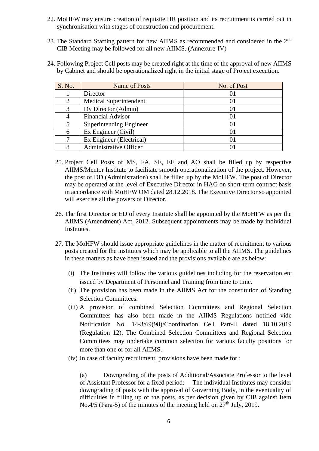- 22. MoHFW may ensure creation of requisite HR position and its recruitment is carried out in synchronisation with stages of construction and procurement.
- 23. The Standard Staffing pattern for new AIIMS as recommended and considered in the 2<sup>nd</sup> CIB Meeting may be followed for all new AIIMS. (Annexure-IV)
- 24. Following Project Cell posts may be created right at the time of the approval of new AIIMS by Cabinet and should be operationalized right in the initial stage of Project execution.

| S. No.                      | Name of Posts                 | No. of Post |
|-----------------------------|-------------------------------|-------------|
|                             | Director                      | O           |
| $\mathcal{D}_{\mathcal{L}}$ | <b>Medical Superintendent</b> | O I         |
| 3                           | Dy Director (Admin)           | O I         |
|                             | <b>Financial Advisor</b>      | OI          |
|                             | Superintending Engineer       | 01          |
| 6                           | Ex Engineer (Civil)           | $_{01}$     |
|                             | Ex Engineer (Electrical)      | $_{01}$     |
|                             | Administrative Officer        |             |

- 25. Project Cell Posts of MS, FA, SE, EE and AO shall be filled up by respective AIIMS/Mentor Institute to facilitate smooth operationalization of the project. However, the post of DD (Administration) shall be filled up by the MoHFW. The post of Director may be operated at the level of Executive Director in HAG on short-term contract basis in accordance with MoHFW OM dated 28.12.2018. The Executive Director so appointed will exercise all the powers of Director.
- 26. The first Director or ED of every Institute shall be appointed by the MoHFW as per the AIIMS (Amendment) Act, 2012. Subsequent appointments may be made by individual Institutes.
- 27. The MoHFW should issue appropriate guidelines in the matter of recruitment to various posts created for the institutes which may be applicable to all the AIIMS. The guidelines in these matters as have been issued and the provisions available are as below:
	- (i) The Institutes will follow the various guidelines including for the reservation etc issued by Department of Personnel and Training from time to time.
	- (ii) The provision has been made in the AIIMS Act for the constitution of Standing Selection Committees.
	- (iii) A provision of combined Selection Committees and Regional Selection Committees has also been made in the AIIMS Regulations notified vide Notification No. 14-3/69(98)/Coordination Cell Part-II dated 18.10.2019 (Regulation 12). The Combined Selection Committees and Regional Selection Committees may undertake common selection for various faculty positions for more than one or for all AIIMS.
	- (iv) In case of faculty recruitment, provisions have been made for :

(a) Downgrading of the posts of Additional/Associate Professor to the level of Assistant Professor for a fixed period: The individual Institutes may consider downgrading of posts with the approval of Governing Body, in the eventuality of difficulties in filling up of the posts, as per decision given by CIB against Item No.4/5 (Para-5) of the minutes of the meeting held on  $27<sup>th</sup>$  July, 2019.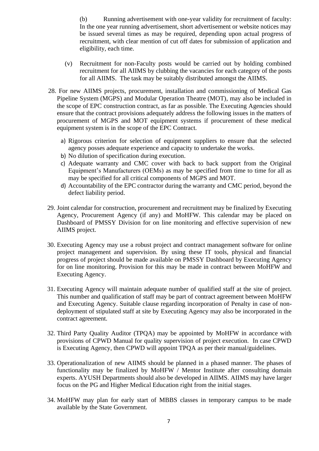(b) Running advertisement with one-year validity for recruitment of faculty: In the one year running advertisement, short advertisement or website notices may be issued several times as may be required, depending upon actual progress of recruitment, with clear mention of cut off dates for submission of application and eligibility, each time.

- (v) Recruitment for non-Faculty posts would be carried out by holding combined recruitment for all AIIMS by clubbing the vacancies for each category of the posts for all AIIMS. The task may be suitably distributed amongst the AIIMS.
- 28. For new AIIMS projects, procurement, installation and commissioning of Medical Gas Pipeline System (MGPS) and Modular Operation Theatre (MOT), may also be included in the scope of EPC construction contract, as far as possible. The Executing Agencies should ensure that the contract provisions adequately address the following issues in the matters of procurement of MGPS and MOT equipment systems if procurement of these medical equipment system is in the scope of the EPC Contract.
	- a) Rigorous criterion for selection of equipment suppliers to ensure that the selected agency posses adequate experience and capacity to undertake the works.
	- b) No dilution of specification during execution.
	- c) Adequate warranty and CMC cover with back to back support from the Original Equipment's Manufacturers (OEMs) as may be specified from time to time for all as may be specified for all critical components of MGPS and MOT.
	- d) Accountability of the EPC contractor during the warranty and CMC period, beyond the defect liability period.
- 29. Joint calendar for construction, procurement and recruitment may be finalized by Executing Agency, Procurement Agency (if any) and MoHFW. This calendar may be placed on Dashboard of PMSSY Division for on line monitoring and effective supervision of new AIIMS project.
- 30. Executing Agency may use a robust project and contract management software for online project management and supervision. By using these IT tools, physical and financial progress of project should be made available on PMSSY Dashboard by Executing Agency for on line monitoring. Provision for this may be made in contract between MoHFW and Executing Agency.
- 31. Executing Agency will maintain adequate number of qualified staff at the site of project. This number and qualification of staff may be part of contract agreement between MoHFW and Executing Agency. Suitable clause regarding incorporation of Penalty in case of nondeployment of stipulated staff at site by Executing Agency may also be incorporated in the contract agreement.
- 32. Third Party Quality Auditor (TPQA) may be appointed by MoHFW in accordance with provisions of CPWD Manual for quality supervision of project execution. In case CPWD is Executing Agency, then CPWD will appoint TPQA as per their manual/guidelines.
- 33. Operationalization of new AIIMS should be planned in a phased manner. The phases of functionality may be finalized by MoHFW / Mentor Institute after consulting domain experts. AYUSH Departments should also be developed in AIIMS. AIIMS may have larger focus on the PG and Higher Medical Education right from the initial stages.
- 34. MoHFW may plan for early start of MBBS classes in temporary campus to be made available by the State Government.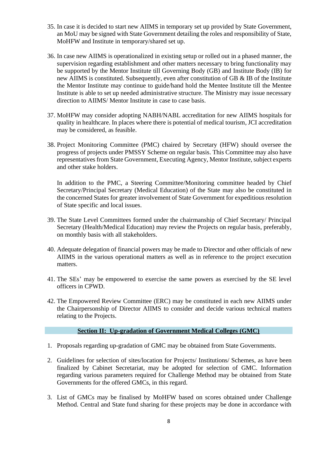- 35. In case it is decided to start new AIIMS in temporary set up provided by State Government, an MoU may be signed with State Government detailing the roles and responsibility of State, MoHFW and Institute in temporary/shared set up.
- 36. In case new AIIMS is operationalized in existing setup or rolled out in a phased manner, the supervision regarding establishment and other matters necessary to bring functionality may be supported by the Mentor Institute till Governing Body (GB) and Institute Body (IB) for new AIIMS is constituted. Subsequently, even after constitution of GB & IB of the Institute the Mentor Institute may continue to guide/hand hold the Mentee Institute till the Mentee Institute is able to set up needed administrative structure. The Ministry may issue necessary direction to AIIMS/ Mentor Institute in case to case basis.
- 37. MoHFW may consider adopting NABH/NABL accreditation for new AIIMS hospitals for quality in healthcare. In places where there is potential of medical tourism, JCI accreditation may be considered, as feasible.
- 38. Project Monitoring Committee (PMC) chaired by Secretary (HFW) should oversee the progress of projects under PMSSY Scheme on regular basis. This Committee may also have representatives from State Government, Executing Agency, Mentor Institute, subject experts and other stake holders.

In addition to the PMC, a Steering Committee/Monitoring committee headed by Chief Secretary/Principal Secretary (Medical Education) of the State may also be constituted in the concerned States for greater involvement of State Government for expeditious resolution of State specific and local issues.

- 39. The State Level Committees formed under the chairmanship of Chief Secretary/ Principal Secretary (Health/Medical Education) may review the Projects on regular basis, preferably, on monthly basis with all stakeholders.
- 40. Adequate delegation of financial powers may be made to Director and other officials of new AIIMS in the various operational matters as well as in reference to the project execution matters.
- 41. The SEs' may be empowered to exercise the same powers as exercised by the SE level officers in CPWD.
- 42. The Empowered Review Committee (ERC) may be constituted in each new AIIMS under the Chairpersonship of Director AIIMS to consider and decide various technical matters relating to the Projects.

#### **Section II: Up-gradation of Government Medical Colleges (GMC)**

- 1. Proposals regarding up-gradation of GMC may be obtained from State Governments.
- 2. Guidelines for selection of sites/location for Projects/ Institutions/ Schemes, as have been finalized by Cabinet Secretariat, may be adopted for selection of GMC. Information regarding various parameters required for Challenge Method may be obtained from State Governments for the offered GMCs, in this regard.
- 3. List of GMCs may be finalised by MoHFW based on scores obtained under Challenge Method. Central and State fund sharing for these projects may be done in accordance with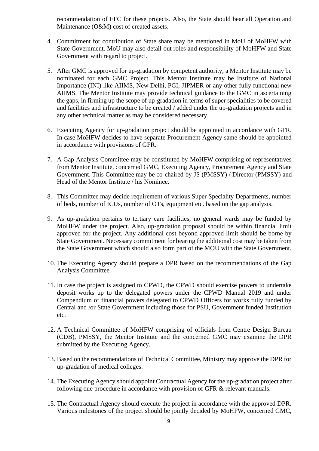recommendation of EFC for these projects. Also, the State should bear all Operation and Maintenance (O&M) cost of created assets.

- 4. Commitment for contribution of State share may be mentioned in MoU of MoHFW with State Government. MoU may also detail out roles and responsibility of MoHFW and State Government with regard to project.
- 5. After GMC is approved for up-gradation by competent authority, a Mentor Institute may be nominated for each GMC Project. This Mentor Institute may be Institute of National Importance (INI) like AIIMS, New Delhi, PGI, JIPMER or any other fully functional new AIIMS. The Mentor Institute may provide technical guidance to the GMC in ascertaining the gaps, in firming up the scope of up-gradation in terms of super specialities to be covered and facilities and infrastructure to be created / added under the up-gradation projects and in any other technical matter as may be considered necessary.
- 6. Executing Agency for up-gradation project should be appointed in accordance with GFR. In case MoHFW decides to have separate Procurement Agency same should be appointed in accordance with provisions of GFR.
- 7. A Gap Analysis Committee may be constituted by MoHFW comprising of representatives from Mentor Institute, concerned GMC, Executing Agency, Procurement Agency and State Government. This Committee may be co-chaired by JS (PMSSY) / Director (PMSSY) and Head of the Mentor Institute / his Nominee.
- 8. This Committee may decide requirement of various Super Speciality Departments, number of beds, number of ICUs, number of OTs, equipment etc. based on the gap analysis.
- 9. As up-gradation pertains to tertiary care facilities, no general wards may be funded by MoHFW under the project. Also, up-gradation proposal should be within financial limit approved for the project. Any additional cost beyond approved limit should be borne by State Government. Necessary commitment for bearing the additional cost may be taken from the State Government which should also form part of the MOU with the State Government.
- 10. The Executing Agency should prepare a DPR based on the recommendations of the Gap Analysis Committee.
- 11. In case the project is assigned to CPWD, the CPWD should exercise powers to undertake deposit works up to the delegated powers under the CPWD Manual 2019 and under Compendium of financial powers delegated to CPWD Officers for works fully funded by Central and /or State Government including those for PSU, Government funded Institution etc.
- 12. A Technical Committee of MoHFW comprising of officials from Centre Design Bureau (CDB), PMSSY, the Mentor Institute and the concerned GMC may examine the DPR submitted by the Executing Agency.
- 13. Based on the recommendations of Technical Committee, Ministry may approve the DPR for up-gradation of medical colleges.
- 14. The Executing Agency should appoint Contractual Agency for the up-gradation project after following due procedure in accordance with provision of GFR & relevant manuals.
- 15. The Contractual Agency should execute the project in accordance with the approved DPR. Various milestones of the project should be jointly decided by MoHFW, concerned GMC,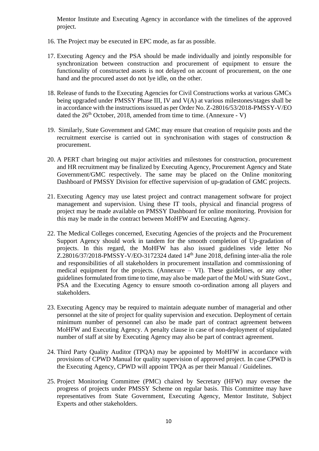Mentor Institute and Executing Agency in accordance with the timelines of the approved project.

- 16. The Project may be executed in EPC mode, as far as possible.
- 17. Executing Agency and the PSA should be made individually and jointly responsible for synchronization between construction and procurement of equipment to ensure the functionality of constructed assets is not delayed on account of procurement, on the one hand and the procured asset do not lye idle, on the other.
- 18. Release of funds to the Executing Agencies for Civil Constructions works at various GMCs being upgraded under PMSSY Phase III, IV and V(A) at various milestones/stages shall be in accordance with the instructions issued as per Order No. Z-28016/53/2018-PMSSY-V/EO dated the  $26<sup>th</sup>$  October, 2018, amended from time to time. (Annexure - V)
- 19. Similarly, State Government and GMC may ensure that creation of requisite posts and the recruitment exercise is carried out in synchronisation with stages of construction & procurement.
- 20. A PERT chart bringing out major activities and milestones for construction, procurement and HR recruitment may be finalized by Executing Agency, Procurement Agency and State Government/GMC respectively. The same may be placed on the Online monitoring Dashboard of PMSSY Division for effective supervision of up-gradation of GMC projects.
- 21. Executing Agency may use latest project and contract management software for project management and supervision. Using these IT tools, physical and financial progress of project may be made available on PMSSY Dashboard for online monitoring. Provision for this may be made in the contract between MoHFW and Executing Agency.
- 22. The Medical Colleges concerned, Executing Agencies of the projects and the Procurement Support Agency should work in tandem for the smooth completion of Up-gradation of projects. In this regard, the MoHFW has also issued guidelines vide letter No  $Z.28016/37/2018-PMSSY-V/EO-3172324$  dated  $14<sup>th</sup>$  June 2018, defining inter-alia the role and responsibilities of all stakeholders in procurement installation and commissioning of medical equipment for the projects. (Annexure – VI). These guidelines, or any other guidelines formulated from time to time, may also be made part of the MoU with State Govt., PSA and the Executing Agency to ensure smooth co-ordination among all players and stakeholders.
- 23. Executing Agency may be required to maintain adequate number of managerial and other personnel at the site of project for quality supervision and execution. Deployment of certain minimum number of personnel can also be made part of contract agreement between MoHFW and Executing Agency. A penalty clause in case of non-deployment of stipulated number of staff at site by Executing Agency may also be part of contract agreement.
- 24. Third Party Quality Auditor (TPQA) may be appointed by MoHFW in accordance with provisions of CPWD Manual for quality supervision of approved project. In case CPWD is the Executing Agency, CPWD will appoint TPQA as per their Manual / Guidelines.
- 25. Project Monitoring Committee (PMC) chaired by Secretary (HFW) may oversee the progress of projects under PMSSY Scheme on regular basis. This Committee may have representatives from State Government, Executing Agency, Mentor Institute, Subject Experts and other stakeholders.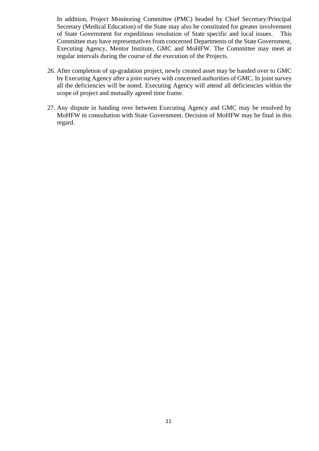In addition, Project Monitoring Committee (PMC) headed by Chief Secretary/Principal Secretary (Medical Education) of the State may also be constituted for greater involvement of State Government for expeditious resolution of State specific and local issues. This Committee may have representatives from concerned Departments of the State Government, Executing Agency, Mentor Institute, GMC and MoHFW. The Committee may meet at regular intervals during the course of the execution of the Projects.

- 26. After completion of up-gradation project, newly created asset may be handed over to GMC by Executing Agency after a joint survey with concerned authorities of GMC. In joint survey all the deficiencies will be noted. Executing Agency will attend all deficiencies within the scope of project and mutually agreed time frame.
- 27. Any dispute in handing over between Executing Agency and GMC may be resolved by MoHFW in consultation with State Government. Decision of MoHFW may be final in this regard.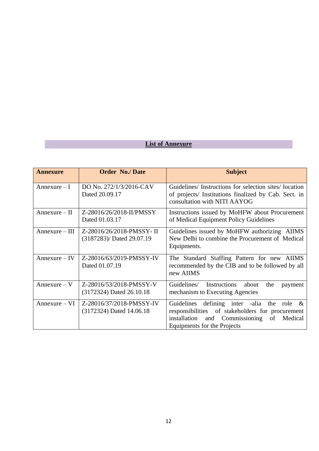## **List of Annexure**

| <b>Annexure</b>  | <b>Order No./Date</b>                                 | <b>Subject</b>                                                                                                                                                                      |
|------------------|-------------------------------------------------------|-------------------------------------------------------------------------------------------------------------------------------------------------------------------------------------|
| $Annexure-I$     | DO No. 272/1/3/2016-CAV<br>Dated 20.09.17             | Guidelines/ Instructions for selection sites/ location<br>of projects/ Institutions finalized by Cab. Sect. in<br>consultation with NITI AAYOG                                      |
| $Annexure - II$  | Z-28016/26/2018-II/PMSSY<br>Dated 01.03.17            | Instructions issued by MoHFW about Procurement<br>of Medical Equipment Policy Guidelines                                                                                            |
| $Annexure - III$ | Z-28016/26/2018-PMSSY-II<br>(3187283)/ Dated 29.07.19 | Guidelines issued by MoHFW authorizing AIIMS<br>New Delhi to combine the Procurement of Medical<br>Equipments.                                                                      |
| $Annexure - IV$  | Z-28016/63/2019-PMSSY-IV<br>Dated 01.07.19            | The Standard Staffing Pattern for new AIIMS<br>recommended by the CIB and to be followed by all<br>new AIIMS                                                                        |
| $Annexure - V$   | Z-28016/53/2018-PMSSY-V<br>(3172324) Dated 26.10.18   | Instructions about<br>Guidelines/<br>the<br>payment<br>mechanism to Executing Agencies                                                                                              |
| $Annexure - VI$  | Z-28016/37/2018-PMSSY-IV<br>(3172324) Dated 14.06.18  | Guidelines defining inter -alia the role $\&$<br>responsibilities of stakeholders for procurement<br>installation<br>and Commissioning<br>of Medical<br>Equipments for the Projects |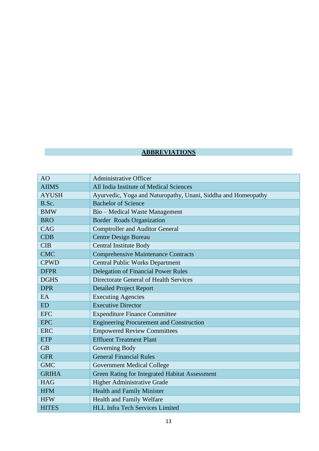## **ABBREVIATIONS**

| AO           | <b>Administrative Officer</b>                                 |
|--------------|---------------------------------------------------------------|
| <b>AIIMS</b> | All India Institute of Medical Sciences                       |
| <b>AYUSH</b> | Ayurvedic, Yoga and Naturopathy, Unani, Siddha and Homeopathy |
| B.Sc.        | <b>Bachelor of Science</b>                                    |
| <b>BMW</b>   | Bio - Medical Waste Management                                |
| <b>BRO</b>   | Border Roads Organization                                     |
| CAG          | <b>Comptroller and Auditor General</b>                        |
| <b>CDB</b>   | <b>Centre Design Bureau</b>                                   |
| <b>CIB</b>   | <b>Central Institute Body</b>                                 |
| <b>CMC</b>   | <b>Comprehensive Maintenance Contracts</b>                    |
| <b>CPWD</b>  | <b>Central Public Works Department</b>                        |
| <b>DFPR</b>  | <b>Delegation of Financial Power Rules</b>                    |
| <b>DGHS</b>  | Directorate General of Health Services                        |
| <b>DPR</b>   | <b>Detailed Project Report</b>                                |
| EA           | <b>Executing Agencies</b>                                     |
| <b>ED</b>    | <b>Executive Director</b>                                     |
| <b>EFC</b>   | <b>Expenditure Finance Committee</b>                          |
| <b>EPC</b>   | <b>Engineering Procurement and Construction</b>               |
| <b>ERC</b>   | <b>Empowered Review Committees</b>                            |
| <b>ETP</b>   | <b>Effluent Treatment Plant</b>                               |
| <b>GB</b>    | Governing Body                                                |
| <b>GFR</b>   | <b>General Financial Rules</b>                                |
| <b>GMC</b>   | <b>Government Medical College</b>                             |
| <b>GRIHA</b> | Green Rating for Integrated Habitat Assessment                |
| <b>HAG</b>   | <b>Higher Administrative Grade</b>                            |
| <b>HFM</b>   | <b>Health and Family Minister</b>                             |
| <b>HFW</b>   | Health and Family Welfare                                     |
| <b>HITES</b> | <b>HLL Infra Tech Services Limited</b>                        |